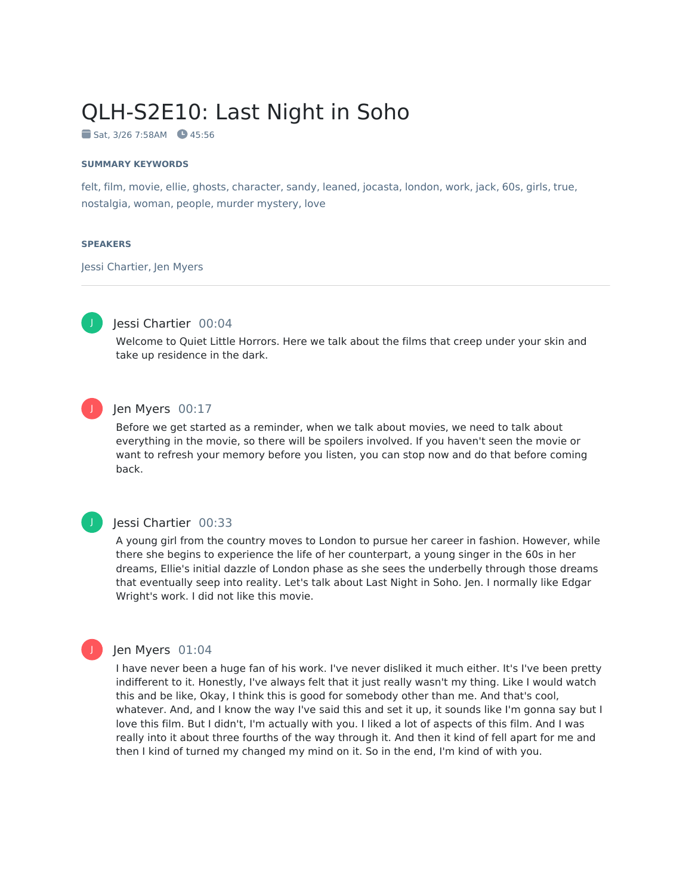# QLH-S2E10: Last Night in Soho

 $Sat. 3/26 7:58AM 45:56$ 

#### **SUMMARY KEYWORDS**

felt, film, movie, ellie, ghosts, character, sandy, leaned, jocasta, london, work, jack, 60s, girls, true, nostalgia, woman, people, murder mystery, love

#### **SPEAKERS**

Jessi Chartier, Jen Myers



# Jessi Chartier 00:04

Welcome to Quiet Little Horrors. Here we talk about the films that creep under your skin and take up residence in the dark.



# Jen Myers 00:17

Before we get started as a reminder, when we talk about movies, we need to talk about everything in the movie, so there will be spoilers involved. If you haven't seen the movie or want to refresh your memory before you listen, you can stop now and do that before coming back.

# J

# Jessi Chartier 00:33

A young girl from the country moves to London to pursue her career in fashion. However, while there she begins to experience the life of her counterpart, a young singer in the 60s in her dreams, Ellie's initial dazzle of London phase as she sees the underbelly through those dreams that eventually seep into reality. Let's talk about Last Night in Soho. Jen. I normally like Edgar Wright's work. I did not like this movie.

# Jen Myers 01:04

I have never been a huge fan of his work. I've never disliked it much either. It's I've been pretty indifferent to it. Honestly, I've always felt that it just really wasn't my thing. Like I would watch this and be like, Okay, I think this is good for somebody other than me. And that's cool, whatever. And, and I know the way I've said this and set it up, it sounds like I'm gonna say but I love this film. But I didn't, I'm actually with you. I liked a lot of aspects of this film. And I was really into it about three fourths of the way through it. And then it kind of fell apart for me and then I kind of turned my changed my mind on it. So in the end, I'm kind of with you.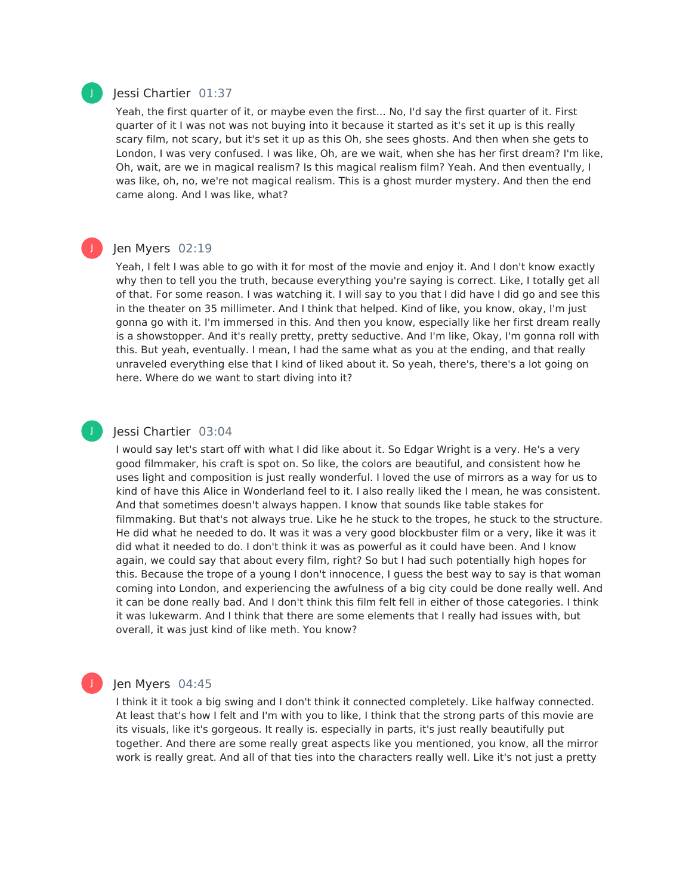#### Jessi Chartier 01:37

Yeah, the first quarter of it, or maybe even the first... No, I'd say the first quarter of it. First quarter of it I was not was not buying into it because it started as it's set it up is this really scary film, not scary, but it's set it up as this Oh, she sees ghosts. And then when she gets to London, I was very confused. I was like, Oh, are we wait, when she has her first dream? I'm like, Oh, wait, are we in magical realism? Is this magical realism film? Yeah. And then eventually, I was like, oh, no, we're not magical realism. This is a ghost murder mystery. And then the end came along. And I was like, what?

#### Jen Myers 02:19

Yeah, I felt I was able to go with it for most of the movie and enjoy it. And I don't know exactly why then to tell you the truth, because everything you're saying is correct. Like, I totally get all of that. For some reason. I was watching it. I will say to you that I did have I did go and see this in the theater on 35 millimeter. And I think that helped. Kind of like, you know, okay, I'm just gonna go with it. I'm immersed in this. And then you know, especially like her first dream really is a showstopper. And it's really pretty, pretty seductive. And I'm like, Okay, I'm gonna roll with this. But yeah, eventually. I mean, I had the same what as you at the ending, and that really unraveled everything else that I kind of liked about it. So yeah, there's, there's a lot going on here. Where do we want to start diving into it?

#### Jessi Chartier 03:04

I would say let's start off with what I did like about it. So Edgar Wright is a very. He's a very good filmmaker, his craft is spot on. So like, the colors are beautiful, and consistent how he uses light and composition is just really wonderful. I loved the use of mirrors as a way for us to kind of have this Alice in Wonderland feel to it. I also really liked the I mean, he was consistent. And that sometimes doesn't always happen. I know that sounds like table stakes for filmmaking. But that's not always true. Like he he stuck to the tropes, he stuck to the structure. He did what he needed to do. It was it was a very good blockbuster film or a very, like it was it did what it needed to do. I don't think it was as powerful as it could have been. And I know again, we could say that about every film, right? So but I had such potentially high hopes for this. Because the trope of a young I don't innocence, I guess the best way to say is that woman coming into London, and experiencing the awfulness of a big city could be done really well. And it can be done really bad. And I don't think this film felt fell in either of those categories. I think it was lukewarm. And I think that there are some elements that I really had issues with, but overall, it was just kind of like meth. You know?

#### Jen Myers 04:45

I think it it took a big swing and I don't think it connected completely. Like halfway connected. At least that's how Ifelt and I'm with you to like, I think that the strong parts of this movie are its visuals, like it's gorgeous. It really is. especially in parts, it's just really beautifully put together. And there are some really great aspects like you mentioned, you know, all the mirror work is really great. And all of that ties into the characters really well. Like it's not just a pretty



J

J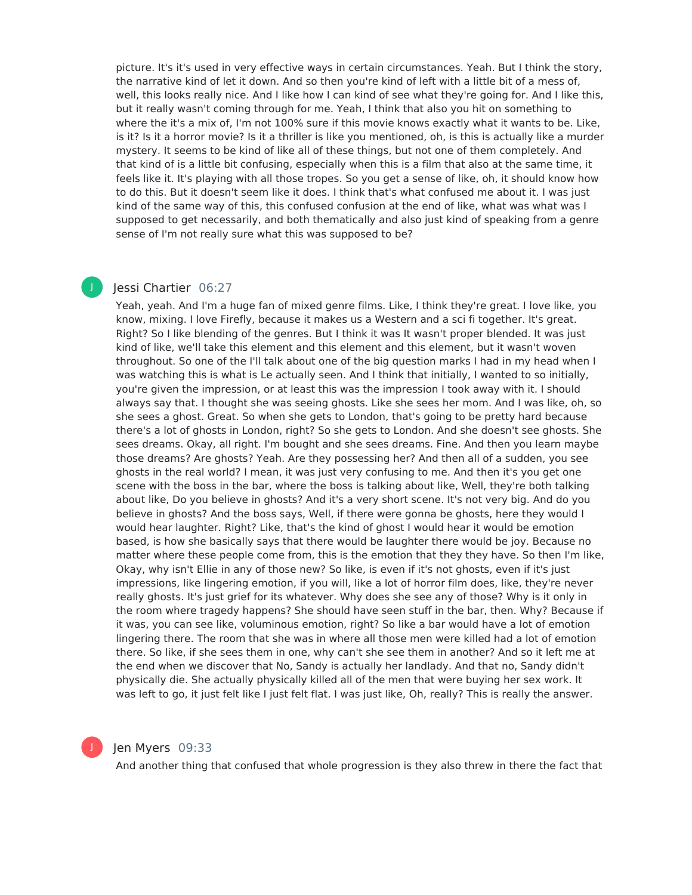picture. It's it's used in very effective ways in certain circumstances. Yeah. But I think the story, the narrative kind of let it down. And so then you're kind of left with a little bit of a mess of, well, this looks really nice. And I like how I can kind of see what they're going for. And I like this, but it really wasn't coming through for me. Yeah, I think that also you hit on something to where the it's a mix of, I'm not 100% sure if this movie knows exactly what it wants to be. Like, is it? Is it a horror movie? Is it a thriller is like you mentioned, oh, is this is actually like a murder mystery. It seems to be kind of like all of these things, but not one of them completely. And that kind of is a little bit confusing, especially when this is a film that also at the same time, it feels like it. It's playing with all those tropes. So you get a sense of like, oh, it should know how to do this. But it doesn't seem like it does. I think that's what confused me about it. I was just kind of the same way of this, this confused confusion at the end of like, what was what was I supposed to get necessarily, and both thematically and also just kind of speaking from a genre sense of I'm not really sure what this was supposed to be?

#### Jessi Chartier 06:27

J

Yeah, yeah. And I'm a huge fan of mixed genre films. Like, I think they're great. I love like, you know, mixing. I love Firefly, because it makes us a Western and a sci fi together. It's great. Right? So I like blending of the genres. But I think it was It wasn't proper blended. It was just kind of like, we'll take this element and this element and this element, but it wasn't woven throughout. So one of the I'll talk about one of the big question marks I had in my head when I was watching this is what is Le actually seen. And I think that initially, I wanted to so initially, you're given the impression, or at least this was the impression I took away with it. I should always say that. I thought she was seeing ghosts. Like she sees her mom. And I was like, oh, so she sees a ghost. Great. So when she gets to London, that's going to be pretty hard because there's a lot of ghosts in London, right? So she gets to London. And she doesn't see ghosts. She sees dreams. Okay, all right. I'm bought and she sees dreams. Fine. And then you learn maybe those dreams? Are ghosts? Yeah. Are they possessing her? And then all of a sudden, you see ghosts in the real world? I mean, it was just very confusing to me. And then it's you get one scene with the boss in the bar, where the boss is talking about like, Well, they're both talking about like, Do you believe in ghosts? And it's a very short scene. It's not very big. And do you believe in ghosts? And the boss says, Well, if there were gonna be ghosts, here they would I would hear laughter. Right? Like, that's the kind of ghost I would hear it would be emotion based, is how she basically says that there would be laughter there would be joy. Because no matter where these people come from, this is the emotion that they they have. So then I'm like, Okay, why isn't Ellie in any of those new? So like, is even if it's not ghosts, even if it's just impressions, like lingering emotion, if you will, like a lot of horror film does, like, they're never really ghosts. It's just grief for its whatever. Why does she see any of those? Why is it only in the room where tragedy happens? She should have seen stuff in the bar, then. Why? Because if it was, you can see like, voluminous emotion, right? So like a bar would have a lot of emotion lingering there. The room that she was in where all those men were killed had a lot of emotion there. So like, if she sees them in one, why can't she see them in another? And so it left me at the end when we discover that No, Sandy is actually her landlady. And that no, Sandy didn't physically die. She actually physically killed all of the men that were buying her sex work. It was left to go, it just felt like I just felt flat. I was just like, Oh, really? This is really the answer.



# Jen Myers 09:33

And another thing that confused that whole progression is they also threw in there the fact that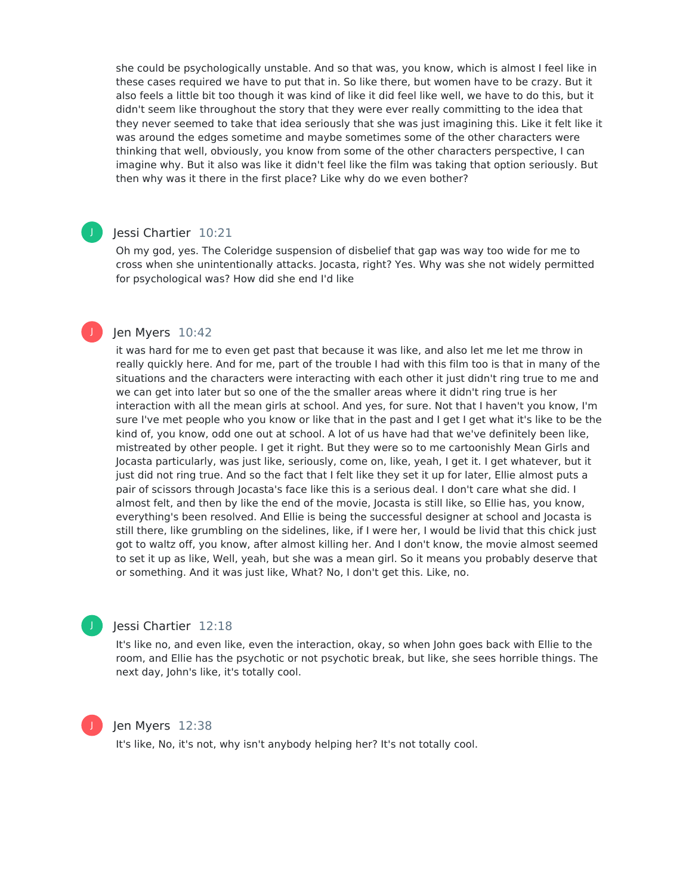she could be psychologically unstable. And so that was, you know, which is almost I feel like in these cases required we have to put that in. So like there, but women have to be crazy. But it also feels a little bit too though it was kind of like it did feel like well, we have to do this, but it didn't seem like throughout the story that they were ever really committing to the idea that they never seemed to take that idea seriously that she was just imagining this. Like it felt like it was around the edges sometime and maybe sometimes some of the other characters were thinking that well, obviously, you know from some of the other characters perspective, I can imagine why. But it also was like it didn't feel like the film was taking that option seriously. But then why was it there in the first place? Like why do we even bother?

# Jessi Chartier 10:21

J

J

Oh my god, yes. The Coleridge suspension of disbelief that gap was way too wide for me to cross when she unintentionally attacks. Jocasta, right? Yes. Why was she not widely permitted for psychological was? How did she end I'd like

# Jen Myers 10:42

it was hard for me to even get past that because it was like, and also let me let me throw in really quickly here. And for me, part of the trouble I had with this film too is that in many of the situations and the characters were interacting with each other it just didn't ring true to me and we can get into later but so one of the the smaller areas where it didn't ring true is her interaction with all the mean girls at school. And yes, for sure. Not that I haven't you know, I'm sure I've met people who you know or like that in the past and I get I get what it's like to be the kind of, you know, odd one out at school. A lot of us have had that we've definitely been like, mistreated by other people. I get it right. But they were so to me cartoonishly Mean Girls and Jocasta particularly, was just like, seriously, come on, like, yeah, I get it. I get whatever, but it just did not ring true. And so the fact that I felt like they set it up for later, Ellie almost puts a pair of scissors through Jocasta's face like this is a serious deal. I don't care what she did. I almost felt, and then by like the end of the movie, Jocasta is still like, so Ellie has, you know, everything's been resolved. And Ellie is being the successful designer at school and Jocasta is still there, like grumbling on the sidelines, like, if I were her, I would be livid that this chick just got to waltz off, you know, after almost killing her. And I don't know, the movie almost seemed to set it up as like, Well, yeah, but she was a mean girl. So it means you probably deserve that or something. And it was just like, What? No, I don't get this. Like, no.



#### Jessi Chartier 12:18

It's like no, and even like, even the interaction, okay, so when John goes back with Ellie to the room, and Ellie has the psychotic or not psychotic break, but like, she sees horrible things. The next day, John's like, it's totally cool.



#### Jen Myers 12:38

It's like, No, it's not, why isn't anybody helping her? It's not totally cool.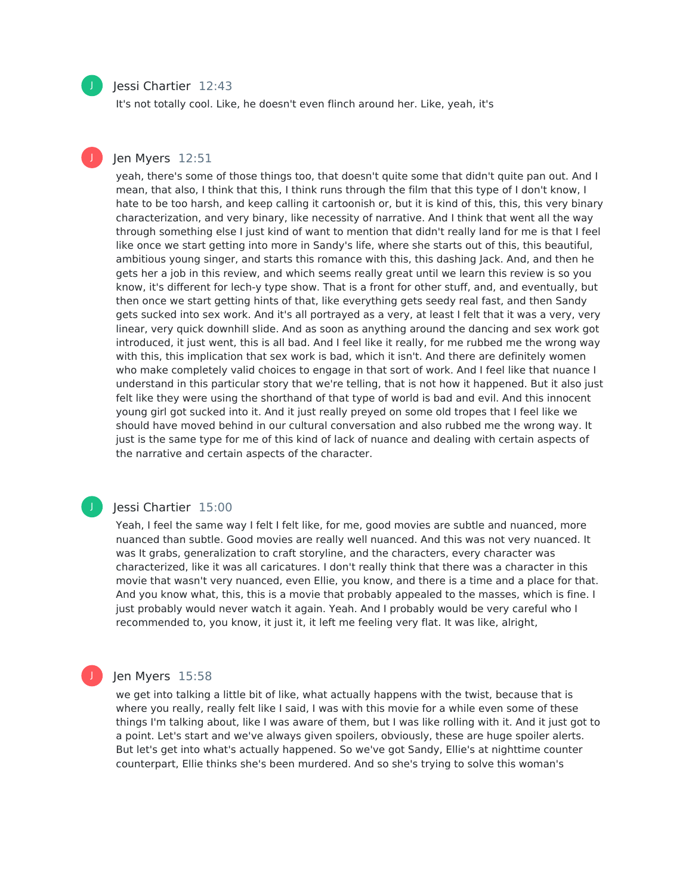# Jessi Chartier 12:43

It's not totally cool. Like, he doesn't even flinch around her. Like, yeah, it's

# Jen Myers 12:51

yeah, there's some of those things too, that doesn't quite some that didn't quite pan out. And I mean, that also, I think that this, I think runs through the film that this type of I don't know, I hate to be too harsh, and keep calling it cartoonish or, but it is kind of this, this, this very binary characterization, and very binary, like necessity of narrative. And I think that went all the way through something else I just kind of want to mention that didn't really land for me is that I feel like once we start getting into more in Sandy's life, where she starts out of this, this beautiful, ambitious young singer, and starts this romance with this, this dashing Jack. And, and then he gets her a job in this review, and which seems really great until we learn this review is so you know, it's different for lech-y type show. That is a front for other stuff, and, and eventually, but then once we start getting hints of that, like everything gets seedy real fast, and then Sandy gets sucked into sex work. And it's all portrayed as a very, at least I felt that it was a very, very linear, very quick downhill slide. And as soon as anything around the dancing and sex work got introduced, it just went, this is all bad. And I feel like it really, for me rubbed me the wrong way with this, this implication that sex work is bad, which it isn't. And there are definitely women who make completely valid choices to engage in that sort of work. And I feel like that nuance I understand in this particular story that we're telling, that is not how it happened. But it also just felt like they were using the shorthand of that type of world is bad and evil. And this innocent young girl got sucked into it. And it just really preyed on some old tropes that I feel like we should have moved behind in our cultural conversation and also rubbed me the wrong way. It just is the same type for me of this kind of lack of nuance and dealing with certain aspects of the narrative and certain aspects of the character.

#### Jessi Chartier 15:00

Yeah, I feel the same way I felt I felt like, for me, good movies are subtle and nuanced, more nuanced than subtle. Good movies are really well nuanced. And this was not very nuanced. It was It grabs, generalization to craft storyline, and the characters, every character was characterized, like it was all caricatures. I don't really think that there was a character in this movie that wasn't very nuanced, even Ellie, you know, and there is a time and a place for that. And you know what, this, this is a movie that probably appealed to the masses, which is fine. I just probably would never watch it again. Yeah. And I probably would be very careful who I recommended to, you know, it just it, it left me feeling very flat. It was like, alright,

#### Jen Myers 15:58

we get into talking a little bit of like, what actually happens with the twist, because that is where you really, really felt like I said, I was with this movie for a while even some of these things I'm talking about, like I was aware of them, but I was like rolling with it. And it just got to a point. Let's start and we've always given spoilers, obviously, these are huge spoiler alerts. But let's get into what's actually happened. So we've got Sandy, Ellie's at nighttime counter counterpart, Ellie thinks she's been murdered. And so she's trying to solve this woman's



J

J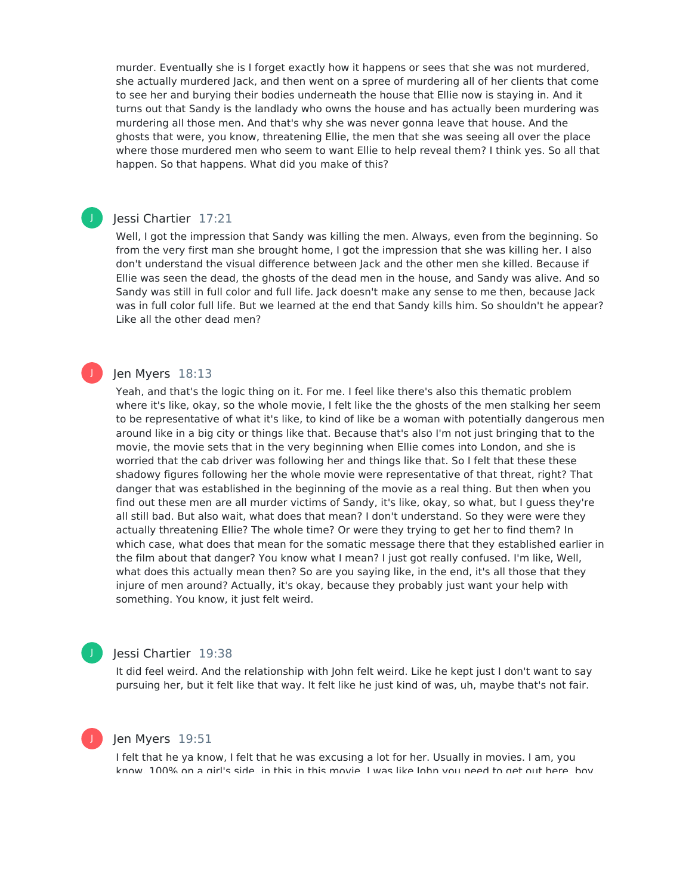murder. Eventually she is I forget exactly how it happens or sees that she was not murdered, she actually murdered Jack, and then went on a spree of murdering all of her clients that come to see her and burying their bodies underneath the house that Ellie now is staying in. And it turns out that Sandy is the landlady who owns the house and has actually been murdering was murdering all those men. And that's why she was never gonna leave that house. And the ghosts that were, you know, threatening Ellie, the men that she was seeing all over the place where those murdered men who seem to want Ellie to help reveal them? I think yes. So all that happen. So that happens. What did you make of this?

#### Jessi Chartier 17:21

J

J

J

Well, I got the impression that Sandy was killing the men. Always, even from the beginning. So from the very first man she brought home, I got the impression that she was killing her. I also don't understand the visual difference between Jack and the other men she killed. Because if Ellie was seen the dead, the ghosts of the dead men in the house, and Sandy was alive. And so Sandy was still in full color and full life. Jack doesn't make any sense to me then, because Jack was in full color full life. But we learned at the end that Sandy kills him. So shouldn't he appear? Like all the other dead men?

# Jen Myers 18:13

Yeah, and that's the logic thing on it. For me. I feel like there's also this thematic problem where it's like, okay, so the whole movie, I felt like the the ghosts of the men stalking her seem to be representative of what it's like, to kind of like be a woman with potentially dangerous men around like in a big city or things like that. Because that's also I'm not just bringing that to the movie, the movie sets that in the very beginning when Ellie comes into London, and she is worried that the cab driver was following her and things like that. So I felt that these these shadowy figures following her the whole movie were representative of that threat, right? That danger that was established in the beginning of the movie as a real thing. But then when you find out these men are all murder victims of Sandy, it's like, okay, so what, but I guess they're all still bad. But also wait, what does that mean? I don't understand. So they were were they actually threatening Ellie? The whole time? Or were they trying to get her to find them? In which case, what does that mean for the somatic message there that they established earlier in the film about that danger? You know what I mean? I just got really confused. I'm like, Well, what does this actually mean then? So are you saying like, in the end, it's all those that they injure of men around? Actually, it's okay, because they probably just want your help with something. You know, it just felt weird.

#### Jessi Chartier 19:38

It did feel weird. And the relationship with John felt weird. Like he kept just I don't want to say pursuing her, but it felt like that way. It felt like he just kind of was, uh, maybe that's not fair.

#### Jen Myers 19:51

I felt that he ya know, I felt that he was excusing a lot for her. Usually in movies. I am, you know, 100% on a girl's side, in this in this movie, I was like John you need to get out here, boy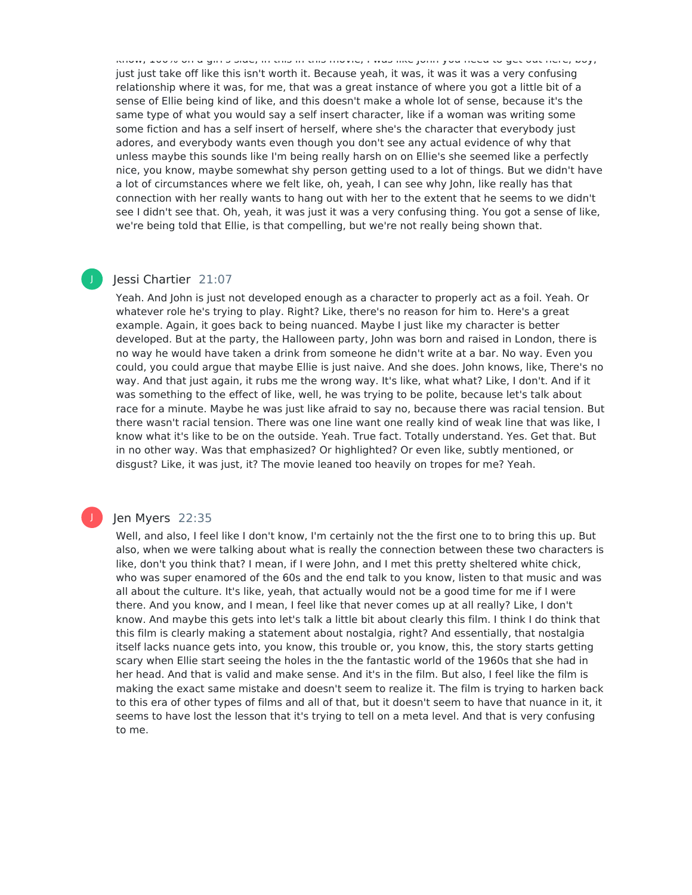know, 100% on a girl's side, in this in this movie, I was like John you need to get out here, boy, just just take off like this isn't worth it. Because yeah, it was, it was it was a very confusing relationship where it was, for me, that was a great instance of where you got a little bit of a sense of Ellie being kind of like, and this doesn't make a whole lot of sense, because it's the same type of what you would say a self insert character, like if a woman was writing some some fiction and has a self insert of herself, where she's the character that everybody just adores, and everybody wants even though you don't see any actual evidence of why that unless maybe this sounds like I'm being really harsh on on Ellie's she seemed like a perfectly nice, you know, maybe somewhat shy person getting used to a lot of things. But we didn't have a lot of circumstances where we felt like, oh, yeah, I can see why John, like really has that connection with her really wants to hang out with her to the extent that he seems to we didn't see I didn't see that. Oh, yeah, it was just it was a very confusing thing. You got a sense of like, we're being told that Ellie, is that compelling, but we're not really being shown that.

# Jessi Chartier 21:07

J

Yeah. And John is just not developed enough as a character to properly act as a foil. Yeah. Or whatever role he's trying to play. Right? Like, there's no reason for him to. Here's a great example. Again, it goes back to being nuanced. Maybe I just like my character is better developed. But at the party, the Halloween party, John was born and raised in London, there is no way he would have taken a drink from someone he didn't write at a bar. No way. Even you could, you could argue that maybe Ellie is just naive. And she does. John knows, like, There's no way. And that just again, it rubs me the wrong way. It's like, what what? Like, I don't. And if it was something to the effect of like, well, he was trying to be polite, because let's talk about race for a minute. Maybe he was just like afraid to say no, because there was racial tension. But there wasn't racial tension. There was one line want one really kind of weak line that was like, I know what it's like to be on the outside. Yeah. True fact. Totally understand. Yes. Get that. But in no other way. Was that emphasized? Or highlighted? Or even like, subtly mentioned, or disgust? Like, it was just, it? The movie leaned too heavily on tropes for me? Yeah.

# Jen Myers 22:35

Well, and also, I feel like I don't know, I'm certainly not the the first one to to bring this up. But also, when we were talking about what is really the connection between these two characters is like, don't you think that? I mean, if I were John, and I met this pretty sheltered white chick, who was super enamored of the 60s and the end talk to you know, listen to that music and was all about the culture. It's like, yeah, that actually would not be a good time for me if I were there. And you know, and I mean, I feel like that never comes up at all really? Like, I don't know. And maybe this gets into let's talk a little bit about clearly this film. I think I do think that this film is clearly making a statement about nostalgia, right? And essentially, that nostalgia itself lacks nuance gets into, you know, this trouble or, you know, this, the story starts getting scary when Ellie start seeing the holes in the the fantastic world of the 1960s that she had in her head. And that is valid and make sense. And it's in the film. But also, I feel like the film is making the exact same mistake and doesn't seem to realize it. The film is trying to harken back to this era of other types of films and all of that, but it doesn't seem to have that nuance in it, it seems to have lost the lesson that it's trying to tell on a meta level. And that is very confusing to me.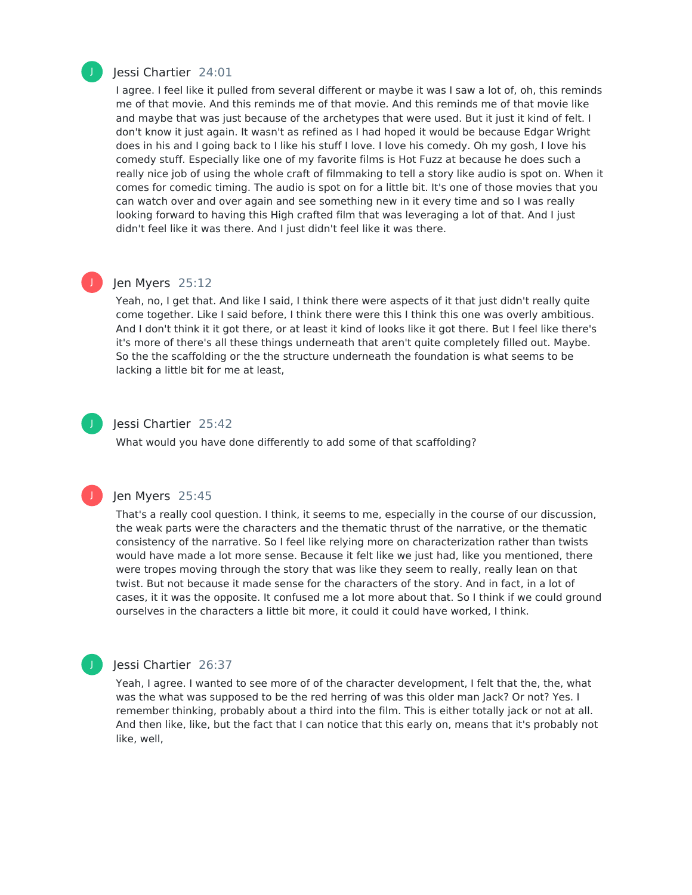

#### Jessi Chartier 24:01

I agree. I feel like it pulled from several different or maybe it was I saw a lot of, oh, this reminds me of that movie. And this reminds me of that movie. And this reminds me of that movie like and maybe that was just because of the archetypes that were used. But it just it kind of felt. I don't know it just again. It wasn't as refined as I had hoped it would be because Edgar Wright does in his and I going back to I like his stuff I love. I love his comedy. Oh my gosh, I love his comedy stuff. Especially like one of my favorite films is Hot Fuzz at because he does such a really nice job of using the whole craft of filmmaking to tell a story like audio is spot on. When it comes for comedic timing. The audio is spot on for a little bit. It's one of those movies that you can watch over and over again and see something new in it every time and so I was really looking forward to having this High crafted film that was leveraging a lot of that. And I just didn't feel like it was there. And I just didn't feel like it was there.

# J

# Jen Myers 25:12

Yeah, no, I get that. And like I said, I think there were aspects of it that just didn't really quite come together. Like I said before, I think there were this I think this one was overly ambitious. And I don't think it it got there, or at least it kind of looks like it got there. But I feel like there's it's more of there's all these things underneath that aren't quite completely filled out. Maybe. So the the scaffolding or the the structure underneath the foundation is what seems to be lacking a little bit for me at least,



J

#### Jessi Chartier 25:42

What would you have done differently to add some of that scaffolding?

#### Jen Myers 25:45

That's a really cool question. I think, it seems to me, especially in the course of our discussion, the weak parts were the characters and the thematic thrust of the narrative, or the thematic consistency of the narrative. So I feel like relying more on characterization rather than twists would have made a lot more sense. Because it felt like we just had, like you mentioned, there were tropes moving through the story that was like they seem to really, really lean on that twist. But not because it made sense for the characters of the story. And in fact, in a lot of cases, it it was the opposite. It confused me a lot more about that. So I think if we could ground ourselves in the characters a little bit more, it could it could have worked, I think.

# Jessi Chartier 26:37

Yeah, I agree. I wanted to see more of of the character development, I felt that the, the, what was the what was supposed to be the red herring of was this older man Jack? Or not? Yes. I remember thinking, probably about a third into the film. This is either totally jack or not at all. And then like, like, but the fact that I can notice that this early on, means that it's probably not like, well,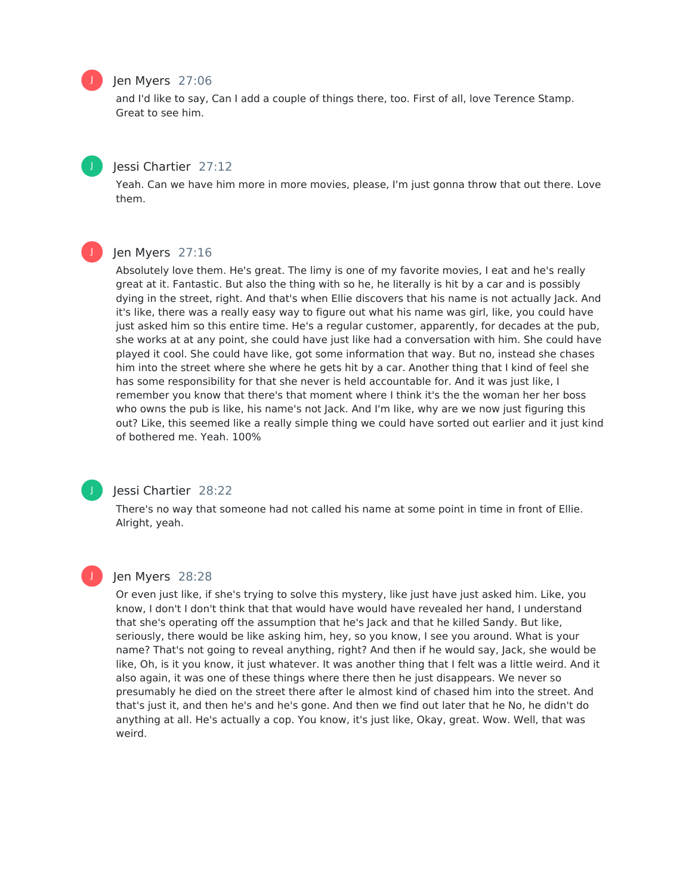# Jen Myers 27:06

and I'd like to say, Can I add a couple of things there, too. First of all, love Terence Stamp. Great to see him.

# Jessi Chartier 27:12

Yeah. Can we have him more in more movies, please, I'm just gonna throw that out there. Love them.

J

#### Jen Myers 27:16

Absolutely love them. He's great. The limy is one of my favorite movies, I eat and he's really great at it. Fantastic. But also the thing with so he, he literally is hit by a car and is possibly dying in the street, right. And that's when Ellie discovers that his name is not actually Jack. And it's like, there was a really easy way to figure out what his name was girl, like, you could have just asked him so this entire time. He's a regular customer, apparently, for decades at the pub, she works at at any point, she could have just like had a conversation with him. She could have played it cool. She could have like, got some information that way. But no, instead she chases him into the street where she where he gets hit by a car. Another thing that I kind of feel she has some responsibility for that she never is held accountable for. And it was just like, I remember you know that there's that moment where I think it's the the woman her her boss who owns the pub is like, his name's not Jack. And I'm like, why are we now just figuring this out? Like, this seemed like a really simple thing we could have sorted out earlier and it just kind of bothered me. Yeah. 100%



# Jessi Chartier 28:22

There's no way that someone had not called his name at some point in time in front of Ellie. Alright, yeah.

#### Jen Myers 28:28

Or even just like, if she's trying to solve this mystery, like just have just asked him. Like, you know, I don't I don't think that that would have would have revealed her hand, I understand that she's operating off the assumption that he's Jack and that he killed Sandy. But like, seriously, there would be like asking him, hey, so you know, I see you around. What is your name? That's not going to reveal anything, right? And then if he would say, Jack, she would be like, Oh, is it you know, it just whatever. It was another thing that I felt was a little weird. And it also again, it was one of these things where there then he just disappears. We never so presumably he died on the street there after le almost kind of chased him into the street. And that's just it, and then he's and he's gone. And then we find out later that he No, he didn't do anything at all. He's actually a cop. You know, it's just like, Okay, great. Wow. Well, that was weird.



J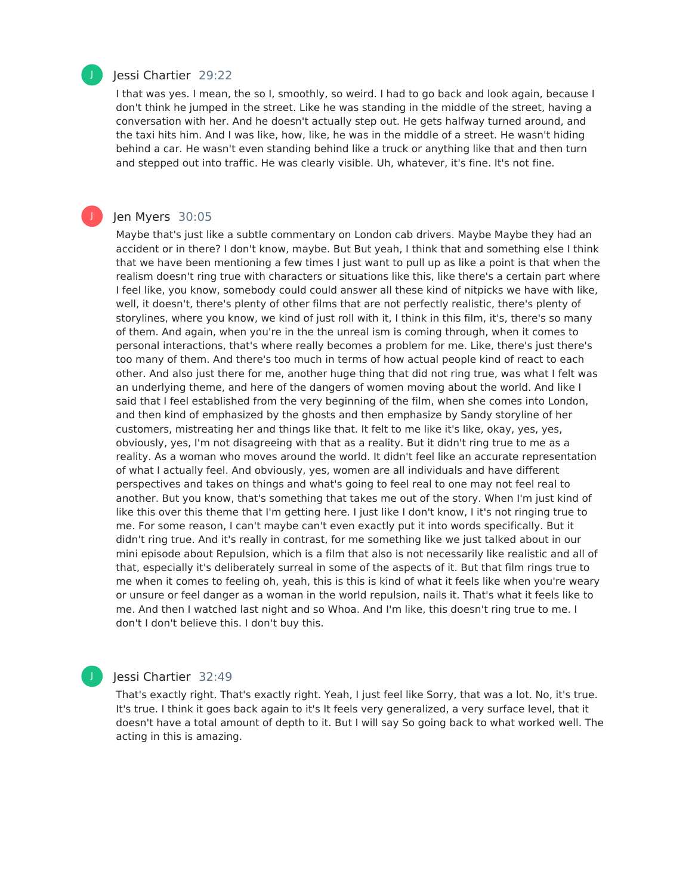

J

### Jessi Chartier 29:22

I that was yes. I mean, the so I, smoothly, so weird. I had to go back and look again, because I don't think he jumped in the street. Like he was standing in the middle of the street, having a conversation with her. And he doesn't actually step out. He gets halfway turned around, and the taxi hits him. And I was like, how, like, he was in the middle of a street. He wasn't hiding behind a car. He wasn't even standing behind like a truck or anything like that and then turn and stepped out into traffic. He was clearly visible. Uh, whatever, it's fine. It's not fine.

# Jen Myers 30:05

Maybe that's just like a subtle commentary on London cab drivers. Maybe Maybe they had an accident or in there? I don't know, maybe. But But yeah, I think that and something else I think that we have been mentioning a few times I just want to pull up as like a point is that when the realism doesn't ring true with characters or situations like this, like there's a certain part where I feel like, you know, somebody could could answer all these kind of nitpicks we have with like, well, it doesn't, there's plenty of other films that are not perfectly realistic, there's plenty of storylines, where you know, we kind of just roll with it, I think in this film, it's, there's so many of them. And again, when you're in the the unreal ism is coming through, when it comes to personal interactions, that's where really becomes a problem for me. Like, there's just there's too many of them. And there's too much in terms of how actual people kind of react to each other. And also just there for me, another huge thing that did not ring true, was what I felt was an underlying theme, and here of the dangers of women moving about the world. And like I said that I feel established from the very beginning of the film, when she comes into London, and then kind of emphasized by the ghosts and then emphasize by Sandy storyline of her customers, mistreating her and things like that. It felt to me like it's like, okay, yes, yes, obviously, yes, I'm not disagreeing with that as a reality. But it didn't ring true to me as a reality. As a woman who moves around the world. It didn't feel like an accurate representation of what I actually feel. And obviously, yes, women are all individuals and have different perspectives and takes on things and what's going to feel real to one may not feel real to another. But you know, that's something that takes me out of the story. When I'm just kind of like this over this theme that I'm getting here. I just like I don't know, I it's not ringing true to me. For some reason, I can't maybe can't even exactly put it into words specifically. But it didn't ring true. And it's really in contrast, for me something like we just talked about in our mini episode about Repulsion, which is a film that also is not necessarily like realistic and all of that, especially it's deliberately surreal in some of the aspects of it. But that film rings true to me when it comes to feeling oh, yeah, this is this is kind of what it feels like when you're weary or unsure or feel danger as a woman in the world repulsion, nails it. That's what it feels like to me. And then I watched last night and so Whoa. And I'm like, this doesn't ring true to me. I don't I don't believe this. I don't buy this.

# Jessi Chartier 32:49

That's exactly right. That's exactly right. Yeah, I just feel like Sorry, that was a lot. No, it's true. It's true. I think it goes back again to it's It feels very generalized, a very surface level, that it doesn't have a total amount of depth to it. But I will say So going back to what worked well. The acting in this is amazing.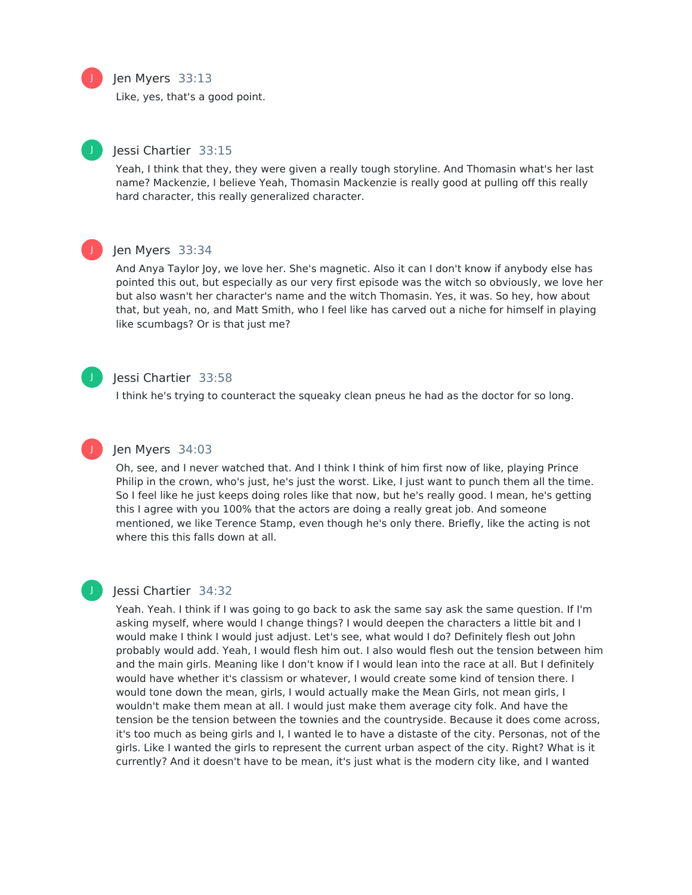#### Jen Myers 33:13

Like, yes, that's a good point.



J

# Jessi Chartier 33:15

Yeah, I think that they, they were given a really tough storyline. And Thomasin what's her last name? Mackenzie, I believe Yeah, Thomasin Mackenzie is really good at pulling off this really hard character, this really generalized character.



# Jen Myers 33:34

And Anya Taylor Joy, we love her. She's magnetic. Also it can I don't know if anybody else has pointed this out, but especially as our very first episode was the witch so obviously, we love her but also wasn't her character's name and the witch Thomasin. Yes, it was. So hey, how about that, but yeah, no, and Matt Smith, who I feel like has carved out a niche for himself in playing like scumbags? Or is that just me?

#### Jessi Chartier 33:58

I think he's trying to counteract the squeaky clean pneus he had as the doctor for so long.



J

# Jen Myers 34:03

Oh, see, and I never watched that. And I think I think of him first now of like, playing Prince Philip in the crown, who's just, he's just the worst. Like, I just want to punch them all the time. So I feel like he just keeps doing roles like that now, but he's really good. I mean, he's getting this I agree with you 100% that the actors are doing a really great job. And someone mentioned, we like Terence Stamp, even though he's only there. Briefly, like the acting is not where this this falls down at all.

# Jessi Chartier 34:32

Yeah. Yeah. I think if I was going to go back to ask the same say ask the same question. If I'm asking myself, where would I change things? I would deepen the characters a little bit and I would make I think I would just adjust. Let's see, what would I do? Definitely flesh out John probably would add. Yeah, I would flesh him out. I also would flesh out the tension between him and the main girls. Meaning like I don't know if I would lean into the race at all. But I definitely would have whether it's classism or whatever, I would create some kind of tension there. I would tone down the mean, girls, I would actually make the Mean Girls, not mean girls, I wouldn't make them mean at all. I would just make them average city folk. And have the tension be the tension between the townies and the countryside. Because it does come across, it's too much as being girls and I, I wanted le to have a distaste of the city. Personas, not of the girls. Like I wanted the girls to represent the current urban aspect of the city. Right? What is it currently? And it doesn't have to be mean, it's just what is the modern city like, and I wanted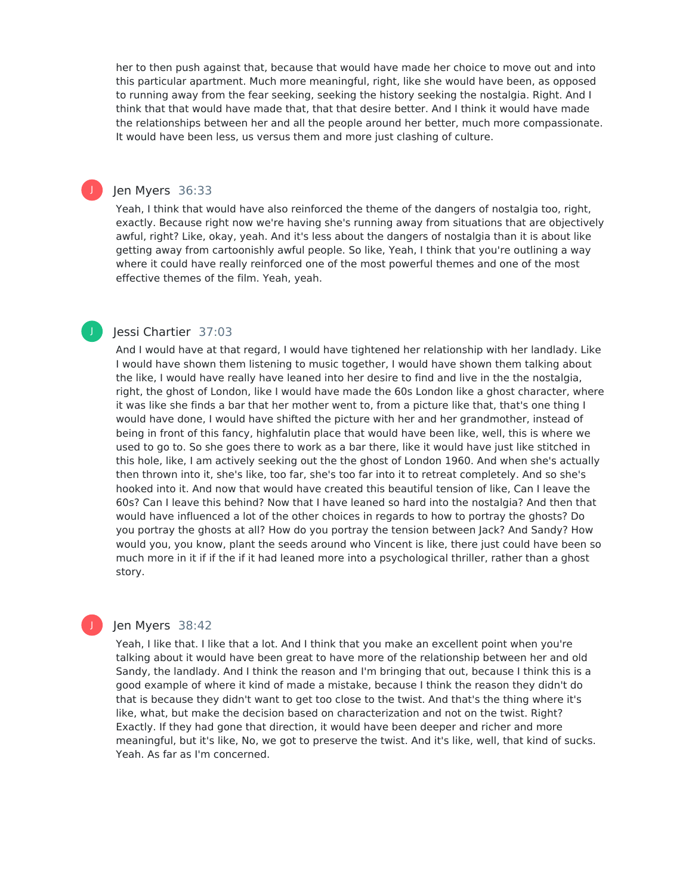her to then push against that, because that would have made her choice to move out and into this particular apartment. Much more meaningful, right, like she would have been, as opposed to running away from the fear seeking, seeking the history seeking the nostalgia. Right. And I think that that would have made that, that that desire better. And I think it would have made the relationships between her and all the people around her better, much more compassionate. It would have been less, us versus them and more just clashing of culture.

#### Jen Myers 36:33

J

J

Yeah, I think that would have also reinforced the theme of the dangers of nostalgia too, right, exactly. Because right now we're having she's running away from situations that are objectively awful, right? Like, okay, yeah. And it's less about the dangers of nostalgia than it is about like getting away from cartoonishly awful people. So like, Yeah, I think that you're outlining a way where it could have really reinforced one of the most powerful themes and one of the most effective themes of the film. Yeah, yeah.

# Jessi Chartier 37:03

And I would have at that regard, I would have tightened her relationship with her landlady. Like I would have shown them listening to music together, I would have shown them talking about the like, I would have really have leaned into her desire to find and live in the the nostalgia, right, the ghost of London, like I would have made the 60s London like a ghost character, where it was like she finds a bar that her mother went to, from a picture like that, that's one thing I would have done, I would have shifted the picture with her and her grandmother, instead of being in front of this fancy, highfalutin place that would have been like, well, this is where we used to go to. So she goes there to work as a bar there, like it would have just like stitched in this hole, like, I am actively seeking out the the ghost of London 1960. And when she's actually then thrown into it, she's like, too far, she's too far into it to retreat completely. And so she's hooked into it. And now that would have created this beautiful tension of like, Can I leave the 60s? Can I leave this behind? Now that I have leaned so hard into the nostalgia? And then that would have influenced a lot of the other choices in regards to how to portray the ghosts? Do you portray the ghosts at all? How do you portray the tension between Jack? And Sandy? How would you, you know, plant the seeds around who Vincent is like, there just could have been so much more in it if if the if it had leaned more into a psychological thriller, rather than a ghost story.

#### Jen Myers 38:42

Yeah, I like that. I like that a lot. And I think that you make an excellent point when you're talking about it would have been great to have more of the relationship between her and old Sandy, the landlady. And I think the reason and I'm bringing that out, because I think this is a good example of where it kind of made a mistake, because I think the reason they didn't do that is because they didn't want to get too close to the twist. And that's the thing where it's like, what, but make the decision based on characterization and not on the twist. Right? Exactly. If they had gone that direction, it would have been deeper and richer and more meaningful, but it's like, No, we got to preserve the twist. And it's like, well, that kind of sucks. Yeah. As far as I'm concerned.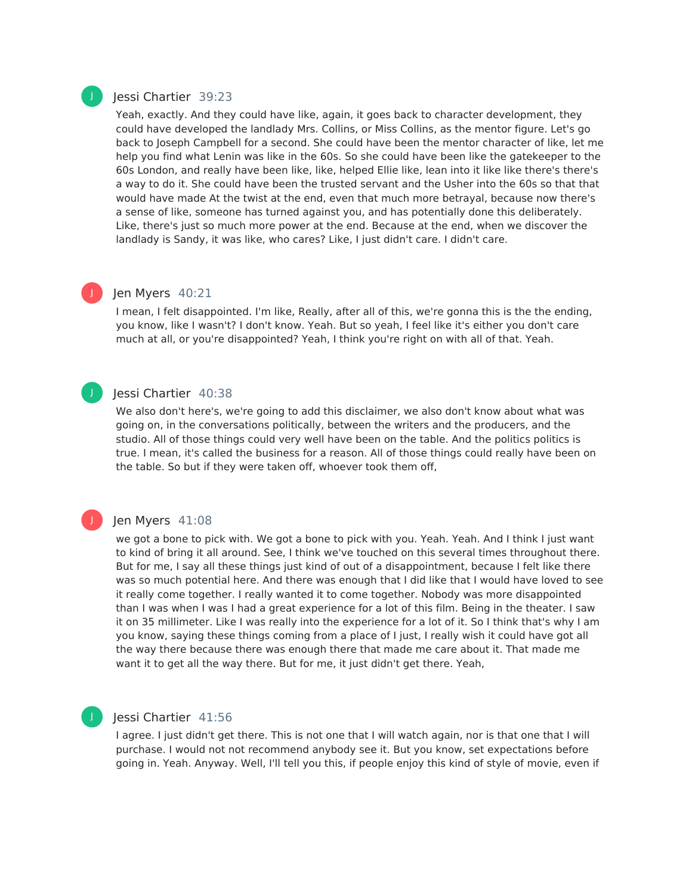#### Jessi Chartier 39:23

Yeah, exactly. And they could have like, again, it goes back to character development, they could have developed the landlady Mrs. Collins, or Miss Collins, as the mentor figure. Let's go back to Joseph Campbell for a second. She could have been the mentor character of like, let me help you find what Lenin was like in the 60s. So she could have been like the gatekeeper to the 60s London, and really have been like, like, helped Ellie like, lean into it like like there's there's a way to do it. She could have been the trusted servant and the Usher into the 60s so that that would have made At the twist at the end, even that much more betrayal, because now there's a sense of like, someone has turned against you, and has potentially done this deliberately. Like, there's just so much more power at the end. Because at the end, when we discover the landlady is Sandy, it was like, who cares? Like, I just didn't care. I didn't care.

# J

J

J

# Jen Myers 40:21

I mean, I felt disappointed. I'm like, Really, after all of this, we're gonna this is the the ending, you know, like I wasn't? I don't know. Yeah. But so yeah, I feel like it's either you don't care much at all, or you're disappointed? Yeah, I think you're right on with all of that. Yeah.

#### Jessi Chartier 40:38

We also don't here's, we're going to add this disclaimer, we also don't know about what was going on, in the conversations politically, between the writers and the producers, and the studio. All of those things could very well have been on the table. And the politics politics is true. I mean, it's called the business for a reason. All of those things could really have been on the table. So but if they were taken off, whoever took them off,

#### Jen Myers 41:08

we got a bone to pick with. We got a bone to pick with you. Yeah. Yeah. And I think I just want to kind of bring it all around. See, I think we've touched on this several times throughout there. But for me, I say all these things just kind of out of a disappointment, because I felt like there was so much potential here. And there was enough that I did like that I would have loved to see it really come together. I really wanted it to come together. Nobody was more disappointed than I was when I was I had a great experience for a lot of this film. Being in the theater. I saw it on 35 millimeter. Like I was really into the experience for a lot of it. So I think that's why I am you know, saying these things coming from a place of I just, I really wish it could have got all the way there because there was enough there that made me care about it. That made me want it to get all the way there. But for me, it just didn't get there. Yeah,

# Jessi Chartier 41:56

I agree. I just didn't get there. This is not one that I will watch again, nor is that one that I will purchase. I would not not recommend anybody see it. But you know, set expectations before going in. Yeah. Anyway. Well, I'll tell you this, if people enjoy this kind of style of movie, even if

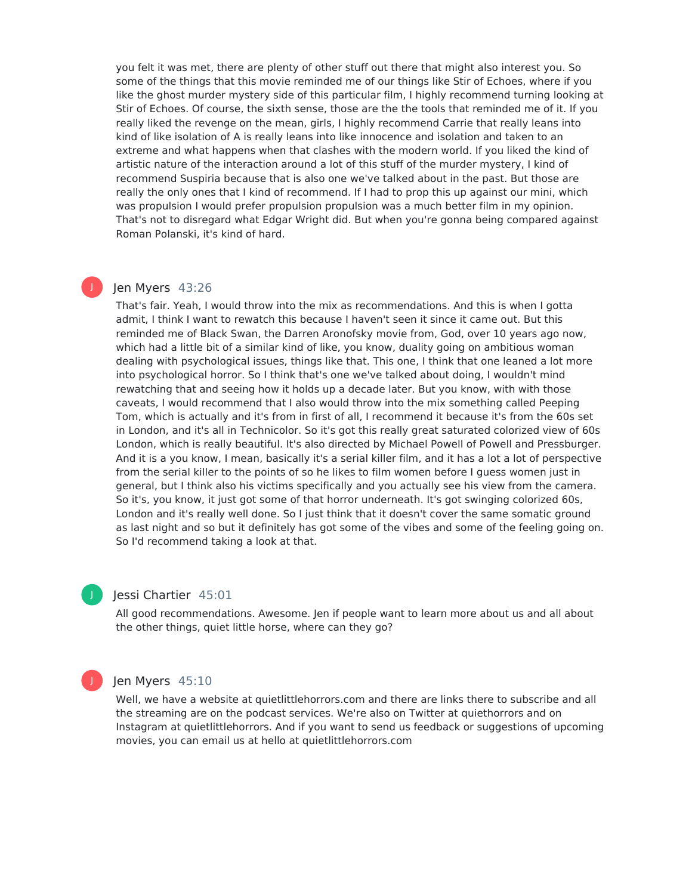you felt it was met, there are plenty of other stuff out there that might also interest you. So some of the things that this movie reminded me of our things like Stir of Echoes, where if you like the ghost murder mystery side of this particular film, I highly recommend turning looking at Stir of Echoes. Of course, the sixth sense, those are the the tools that reminded me of it. If you really liked the revenge on the mean, girls, I highly recommend Carrie that really leans into kind of like isolation of A is really leans into like innocence and isolation and taken to an extreme and what happens when that clashes with the modern world. If you liked the kind of artistic nature of the interaction around a lot of this stuff of the murder mystery, I kind of recommend Suspiria because that is also one we've talked about in the past. But those are really the only ones that I kind of recommend. If I had to prop this up against our mini, which was propulsion I would prefer propulsion propulsion was a much better film in my opinion. That's not to disregard what Edgar Wright did. But when you're gonna being compared against Roman Polanski, it's kind of hard.

#### Jen Myers 43:26

J

That's fair. Yeah, I would throw into the mix as recommendations. And this is when I gotta admit, I think I want to rewatch this because I haven't seen it since it came out. But this reminded me of Black Swan, the Darren Aronofsky movie from, God, over 10 years ago now, which had a little bit of a similar kind of like, you know, duality going on ambitious woman dealing with psychological issues, things like that. This one, I think that one leaned a lot more into psychological horror. So I think that's one we've talked about doing, I wouldn't mind rewatching that and seeing how it holds up a decade later. But you know, with with those caveats, I would recommend that I also would throw into the mix something called Peeping Tom, which is actually and it's from in first of all, I recommend it because it's from the 60s set in London, and it's all in Technicolor. So it's got this really great saturated colorized view of 60s London, which is really beautiful. It's also directed by Michael Powell of Powell and Pressburger. And it is a you know, I mean, basically it's a serial killer film, and it has a lot a lot of perspective from the serial killer to the points of so he likes to film women before I guess women just in general, but I think also his victims specifically and you actually see his view from the camera. So it's, you know, it just got some of that horror underneath. It's got swinging colorized 60s, London and it's really well done. So I just think that it doesn't cover the same somatic ground as last night and so but it definitely has got some of the vibes and some of the feeling going on. So I'd recommend taking a look at that.

#### Jessi Chartier 45:01

All good recommendations. Awesome. Jen if people want to learn more about us and all about the other things, quiet little horse, where can they go?



J

#### Jen Myers 45:10

Well, we have a website at quietlittlehorrors.com and there are links there to subscribe and all the streaming are on the podcast services. We're also on Twitter at quiethorrors and on Instagram at quietlittlehorrors. And if you want to send us feedback or suggestions of upcoming movies, you can email us at hello at quietlittlehorrors.com